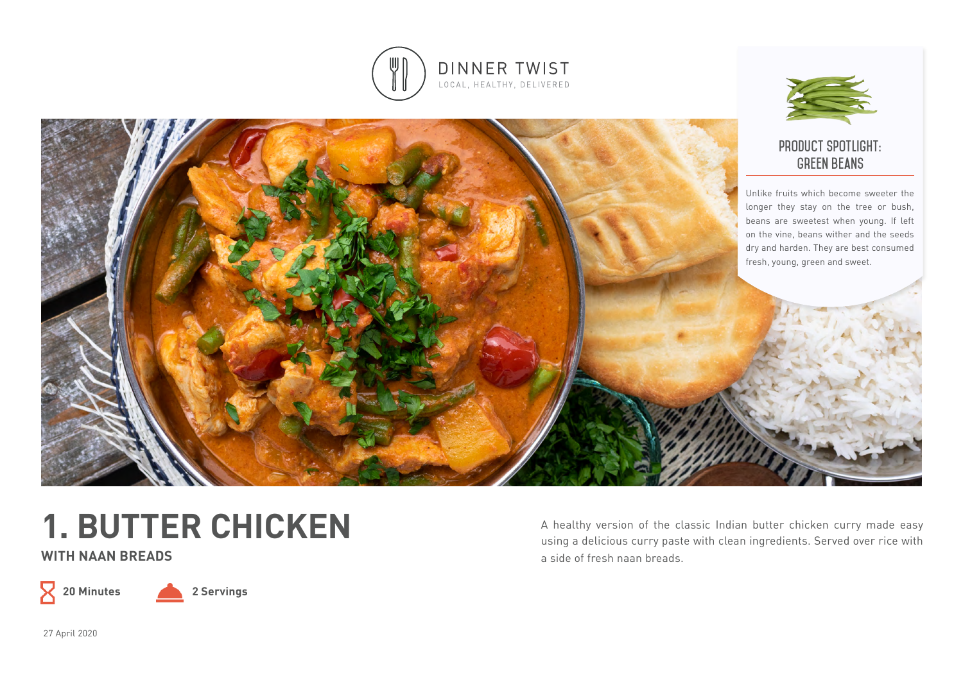



### **product spotlight: green beans**

Unlike fruits which become sweeter the longer they stay on the tree or bush, beans are sweetest when young. If left on the vine, beans wither and the seeds dry and harden. They are best consumed fresh, young, green and sweet.



**WITH NAAN BREADS**

 $8\,$ 

**20 Minutes 2 Servings**

A healthy version of the classic Indian butter chicken curry made easy using a delicious curry paste with clean ingredients. Served over rice with a side of fresh naan breads.

27 April 2020